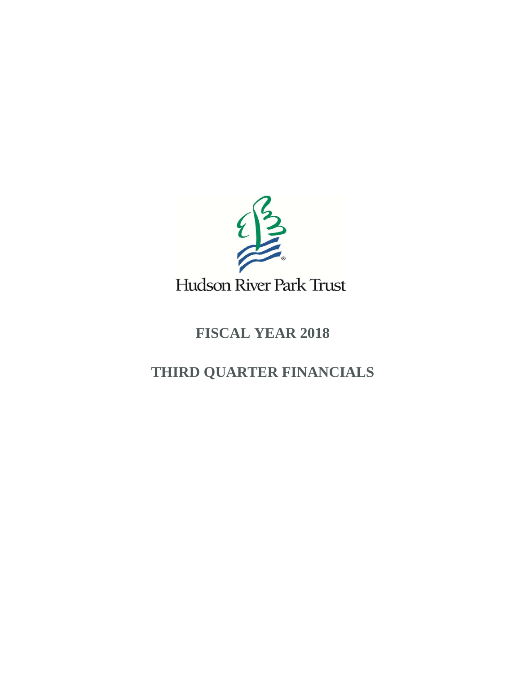

## **FISCAL YEAR 2018**

## **THIRD QUARTER FINANCIALS**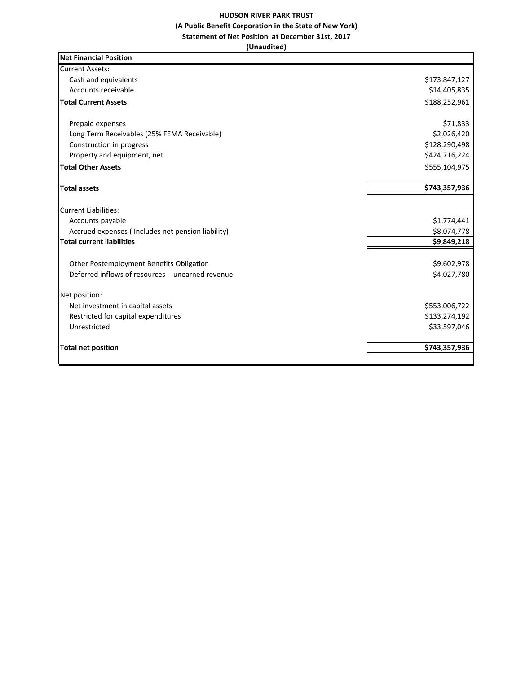## **HUDSON RIVER PARK TRUST (A Public Benefit Corporation in the State of New York) Statement of Net Position at December 31st, 2017 (Unaudited)**

| <b>Net Financial Position</b>                     |               |
|---------------------------------------------------|---------------|
| <b>Current Assets:</b>                            |               |
| Cash and equivalents                              | \$173,847,127 |
| Accounts receivable                               | \$14,405,835  |
| <b>Total Current Assets</b>                       | \$188,252,961 |
| Prepaid expenses                                  | \$71,833      |
| Long Term Receivables (25% FEMA Receivable)       | \$2,026,420   |
| Construction in progress                          | \$128,290,498 |
| Property and equipment, net                       | \$424,716,224 |
| <b>Total Other Assets</b>                         | \$555,104,975 |
| <b>Total assets</b>                               | \$743,357,936 |
| <b>Current Liabilities:</b>                       |               |
| Accounts payable                                  | \$1,774,441   |
| Accrued expenses (Includes net pension liability) | \$8,074,778   |
| <b>Total current liabilities</b>                  | \$9,849,218   |
| Other Postemployment Benefits Obligation          | \$9,602,978   |
| Deferred inflows of resources - unearned revenue  | \$4,027,780   |
| Net position:                                     |               |
| Net investment in capital assets                  | \$553,006,722 |
| Restricted for capital expenditures               | \$133,274,192 |
| Unrestricted                                      | \$33,597,046  |
| <b>Total net position</b>                         | \$743,357,936 |
|                                                   |               |